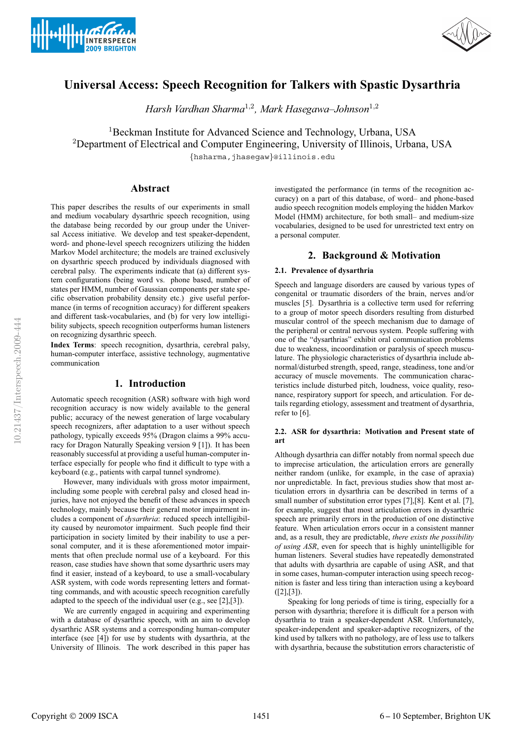



# **Universal Access: Speech Recognition for Talkers with Spastic Dysarthria**

*Harsh Vardhan Sharma*<sup>1</sup>,<sup>2</sup>*, Mark Hasegawa–Johnson*<sup>1</sup>,<sup>2</sup>

<sup>1</sup>Beckman Institute for Advanced Science and Technology, Urbana, USA <sup>2</sup>Department of Electrical and Computer Engineering, University of Illinois, Urbana, USA

{hsharma,jhasegaw}@illinois.edu

# **Abstract**

This paper describes the results of our experiments in small and medium vocabulary dysarthric speech recognition, using the database being recorded by our group under the Universal Access initiative. We develop and test speaker-dependent, word- and phone-level speech recognizers utilizing the hidden Markov Model architecture; the models are trained exclusively on dysarthric speech produced by individuals diagnosed with cerebral palsy. The experiments indicate that (a) different system configurations (being word vs. phone based, number of states per HMM, number of Gaussian components per state specific observation probability density etc.) give useful performance (in terms of recognition accuracy) for different speakers and different task-vocabularies, and (b) for very low intelligibility subjects, speech recognition outperforms human listeners on recognizing dysarthric speech.

**Index Terms**: speech recognition, dysarthria, cerebral palsy, human-computer interface, assistive technology, augmentative communication

# **1. Introduction**

Automatic speech recognition (ASR) software with high word recognition accuracy is now widely available to the general public; accuracy of the newest generation of large vocabulary speech recognizers, after adaptation to a user without speech pathology, typically exceeds 95% (Dragon claims a 99% accuracy for Dragon Naturally Speaking version 9 [1]). It has been reasonably successful at providing a useful human-computer interface especially for people who find it difficult to type with a keyboard (e.g., patients with carpal tunnel syndrome).

However, many individuals with gross motor impairment, including some people with cerebral palsy and closed head injuries, have not enjoyed the benefit of these advances in speech technology, mainly because their general motor impairment includes a component of *dysarthria*: reduced speech intelligibility caused by neuromotor impairment. Such people find their participation in society limited by their inability to use a personal computer, and it is these aforementioned motor impairments that often preclude normal use of a keyboard. For this reason, case studies have shown that some dysarthric users may find it easier, instead of a keyboard, to use a small-vocabulary ASR system, with code words representing letters and formatting commands, and with acoustic speech recognition carefully adapted to the speech of the individual user (e.g., see [2],[3]).

We are currently engaged in acquiring and experimenting with a database of dysarthric speech, with an aim to develop dysarthric ASR systems and a corresponding human-computer interface (see [4]) for use by students with dysarthria, at the University of Illinois. The work described in this paper has investigated the performance (in terms of the recognition accuracy) on a part of this database, of word– and phone-based audio speech recognition models employing the hidden Markov Model (HMM) architecture, for both small– and medium-size vocabularies, designed to be used for unrestricted text entry on a personal computer.

# **2. Background & Motivation**

### **2.1. Prevalence of dysarthria**

Speech and language disorders are caused by various types of congenital or traumatic disorders of the brain, nerves and/or muscles [5]. Dysarthria is a collective term used for referring to a group of motor speech disorders resulting from disturbed muscular control of the speech mechanism due to damage of the peripheral or central nervous system. People suffering with one of the "dysarthrias" exhibit oral communication problems due to weakness, incoordination or paralysis of speech musculature. The physiologic characteristics of dysarthria include abnormal/disturbed strength, speed, range, steadiness, tone and/or accuracy of muscle movements. The communication characteristics include disturbed pitch, loudness, voice quality, resonance, respiratory support for speech, and articulation. For details regarding etiology, assessment and treatment of dysarthria, refer to [6].

## **2.2. ASR for dysarthria: Motivation and Present state of art**

Although dysarthria can differ notably from normal speech due to imprecise articulation, the articulation errors are generally neither random (unlike, for example, in the case of apraxia) nor unpredictable. In fact, previous studies show that most articulation errors in dysarthria can be described in terms of a small number of substitution error types [7],[8]. Kent et al. [7], for example, suggest that most articulation errors in dysarthric speech are primarily errors in the production of one distinctive feature. When articulation errors occur in a consistent manner and, as a result, they are predictable, *there exists the possibility of using ASR*, even for speech that is highly unintelligible for human listeners. Several studies have repeatedly demonstrated that adults with dysarthria are capable of using ASR, and that in some cases, human-computer interaction using speech recognition is faster and less tiring than interaction using a keyboard  $([2],[3]).$ 

Speaking for long periods of time is tiring, especially for a person with dysarthria; therefore it is difficult for a person with dysarthria to train a speaker-dependent ASR. Unfortunately, speaker-independent and speaker-adaptive recognizers, of the kind used by talkers with no pathology, are of less use to talkers with dysarthria, because the substitution errors characteristic of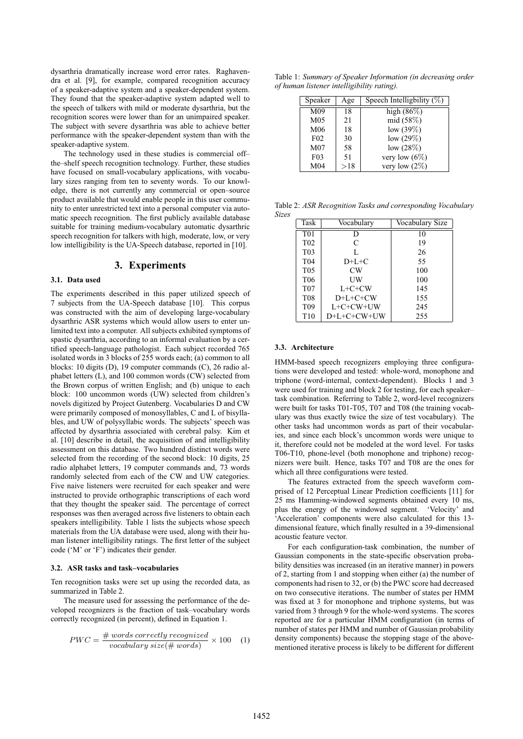dysarthria dramatically increase word error rates. Raghavendra et al. [9], for example, compared recognition accuracy of a speaker-adaptive system and a speaker-dependent system. They found that the speaker-adaptive system adapted well to the speech of talkers with mild or moderate dysarthria, but the recognition scores were lower than for an unimpaired speaker. The subject with severe dysarthria was able to achieve better performance with the speaker-dependent system than with the speaker-adaptive system.

The technology used in these studies is commercial off– the–shelf speech recognition technology. Further, these studies have focused on small-vocabulary applications, with vocabulary sizes ranging from ten to seventy words. To our knowledge, there is not currently any commercial or open–source product available that would enable people in this user community to enter unrestricted text into a personal computer via automatic speech recognition. The first publicly available database suitable for training medium-vocabulary automatic dysarthric speech recognition for talkers with high, moderate, low, or very low intelligibility is the UA-Speech database, reported in [10].

# **3. Experiments**

#### **3.1. Data used**

The experiments described in this paper utilized speech of 7 subjects from the UA-Speech database [10]. This corpus was constructed with the aim of developing large-vocabulary dysarthric ASR systems which would allow users to enter unlimited text into a computer. All subjects exhibited symptoms of spastic dysarthria, according to an informal evaluation by a certified speech-language pathologist. Each subject recorded 765 isolated words in 3 blocks of 255 words each; (a) common to all blocks: 10 digits (D), 19 computer commands (C), 26 radio alphabet letters (L), and 100 common words (CW) selected from the Brown corpus of written English; and (b) unique to each block: 100 uncommon words (UW) selected from children's novels digitized by Project Gutenberg. Vocabularies D and CW were primarily composed of monosyllables, C and L of bisyllables, and UW of polysyllabic words. The subjects' speech was affected by dysarthria associated with cerebral palsy. Kim et al. [10] describe in detail, the acquisition of and intelligibility assessment on this database. Two hundred distinct words were selected from the recording of the second block: 10 digits, 25 radio alphabet letters, 19 computer commands and, 73 words randomly selected from each of the CW and UW categories. Five naive listeners were recruited for each speaker and were instructed to provide orthographic transcriptions of each word that they thought the speaker said. The percentage of correct responses was then averaged across five listeners to obtain each speakers intelligibility. Table 1 lists the subjects whose speech materials from the UA database were used, along with their human listener intelligibility ratings. The first letter of the subject code ('M' or 'F') indicates their gender.

#### **3.2. ASR tasks and task–vocabularies**

Ten recognition tasks were set up using the recorded data, as summarized in Table 2.

The measure used for assessing the performance of the developed recognizers is the fraction of task–vocabulary words correctly recognized (in percent), defined in Equation 1.

$$
PWC = \frac{\# words \ correctly \ recognized}{vocabulary \ size(\# words)} \times 100 \quad (1)
$$

Table 1: *Summary of Speaker Information (in decreasing order of human listener intelligibility rating).*

| Speaker          | Age | Speech Intelligbility $\overline{(\%)}$ |
|------------------|-----|-----------------------------------------|
| M <sub>09</sub>  | 18  | high $(86\%)$                           |
| M <sub>05</sub>  | 21  | mid (58%)                               |
| M <sub>06</sub>  | 18  | low $(39\%)$                            |
| F <sub>02</sub>  | 30  | low $(29\%)$                            |
| M <sub>07</sub>  | 58  | low $(28%)$                             |
| F <sub>0</sub> 3 | 51  | very low $(6\%)$                        |
| M <sub>04</sub>  | >18 | very low $(2\%)$                        |

Table 2: *ASR Recognition Tasks and corresponding Vocabulary Sizes*

| Task             | Vocabulary   | Vocabulary Size |  |
|------------------|--------------|-----------------|--|
| T <sub>0</sub> 1 | D            | 10              |  |
| T <sub>02</sub>  | C            | 19              |  |
| T <sub>0</sub> 3 | L            | 26              |  |
| T <sub>04</sub>  | $D+L+C$      | 55              |  |
| T <sub>05</sub>  | CW           | 100             |  |
| T <sub>06</sub>  | UW           | 100             |  |
| T <sub>07</sub>  | $L + C + CW$ | 145             |  |
| T <sub>08</sub>  | $D+L+C+CW$   | 155             |  |
| T <sub>09</sub>  | $L+C+CW+UW$  | 245             |  |
| T <sub>10</sub>  | D+L+C+CW+UW  | 255             |  |

#### **3.3. Architecture**

HMM-based speech recognizers employing three configurations were developed and tested: whole-word, monophone and triphone (word-internal, context-dependent). Blocks 1 and 3 were used for training and block 2 for testing, for each speaker– task combination. Referring to Table 2, word-level recognizers were built for tasks T01-T05, T07 and T08 (the training vocabulary was thus exactly twice the size of test vocabulary). The other tasks had uncommon words as part of their vocabularies, and since each block's uncommon words were unique to it, therefore could not be modeled at the word level. For tasks T06-T10, phone-level (both monophone and triphone) recognizers were built. Hence, tasks T07 and T08 are the ones for which all three configurations were tested.

The features extracted from the speech waveform comprised of 12 Perceptual Linear Prediction coefficients [11] for 25 ms Hamming-windowed segments obtained every 10 ms, plus the energy of the windowed segment. 'Velocity' and 'Acceleration' components were also calculated for this 13 dimensional feature, which finally resulted in a 39-dimensional acoustic feature vector.

For each configuration-task combination, the number of Gaussian components in the state-specific observation probability densities was increased (in an iterative manner) in powers of 2, starting from 1 and stopping when either (a) the number of components had risen to 32, or (b) the PWC score had decreased on two consecutive iterations. The number of states per HMM was fixed at 3 for monophone and triphone systems, but was varied from 3 through 9 for the whole-word systems. The scores reported are for a particular HMM configuration (in terms of number of states per HMM and number of Gaussian probability density components) because the stopping stage of the abovementioned iterative process is likely to be different for different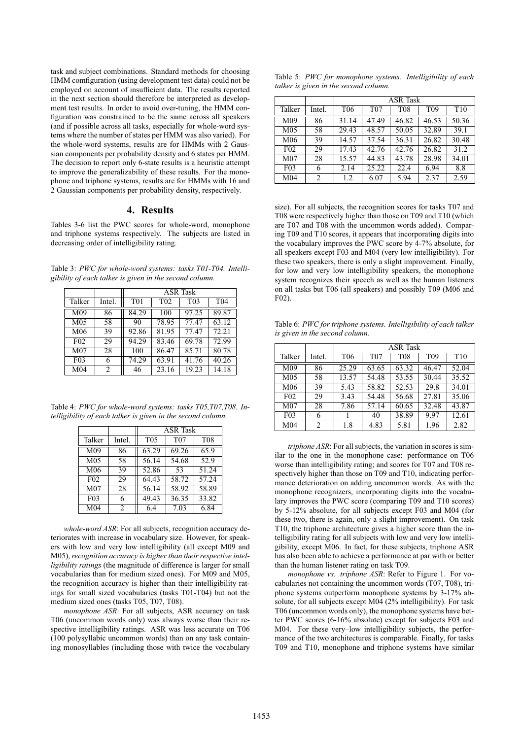task and subject combinations. Standard methods for choosing HMM comfiguration (using development test data) could not be employed on account of insufficient data. The results reported in the next section should therefore be interpreted as development test results. In order to avoid over-tuning, the HMM configuration was constrained to be the same across all speakers (and if possible across all tasks, especially for whole-word systems where the number of states per HMM was also varied). For the whole-word systems, results are for HMMs with 2 Gaussian components per probability density and 6 states per HMM. The decision to report only 6-state results is a heuristic attempt to improve the generalizability of these results. For the monophone and triphone systems, results are for HMMs with 16 and 2 Gaussian components per probability density, respectively.

### **4. Results**

Tables 3-6 list the PWC scores for whole-word, monophone and triphone systems respectively. The subjects are listed in decreasing order of intelligibility rating.

Table 3: *PWC for whole-word systems: tasks T01-T04. Intelligibility of each talker is given in the second column.*

|                  |         | <b>ASR</b> Task  |                  |                  |                 |  |
|------------------|---------|------------------|------------------|------------------|-----------------|--|
| Talker<br>Intel. |         | T <sub>0</sub> 1 | T <sub>0</sub> 2 | T <sub>0</sub> 3 | T <sub>04</sub> |  |
| M <sub>09</sub>  | 86      | 84.29            | 100              | 97.25            | 89.87           |  |
| M <sub>05</sub>  | 58      | 90               | 78.95            | 77.47            | 63.12           |  |
| M <sub>06</sub>  | 39      | 92.86            | 81.95            | 77.47            | 72.21           |  |
| F <sub>02</sub>  | 29      | 94.29            | 83.46            | 69.78            | 72.99           |  |
| M <sub>07</sub>  | 28      | 100              | 86.47            | 85.71            | 80.78           |  |
| F <sub>0</sub> 3 | 6       | 74.29            | 63.91            | 41.76            | 40.26           |  |
| M <sub>04</sub>  | 2<br>46 |                  | 23.16            | 19.23            | 14.18           |  |

Table 4: *PWC for whole-word systems: tasks T05,T07,T08. Intelligibility of each talker is given in the second column.*

|                                   |        | <b>ASR</b> Task |                 |            |  |  |
|-----------------------------------|--------|-----------------|-----------------|------------|--|--|
| Talker                            | Intel. | T <sub>05</sub> | T <sub>07</sub> | <b>T08</b> |  |  |
| M <sub>09</sub>                   | 86     | 63.29           | 69.26           | 65.9       |  |  |
| M <sub>05</sub>                   | 58     | 56.14           | 54.68           | 52.9       |  |  |
| M <sub>06</sub>                   | 39     | 52.86           | 53              | 51.24      |  |  |
| F <sub>02</sub>                   | 29     | 64.43           | 58.72           | 57.24      |  |  |
| M <sub>07</sub>                   | 28     | 56.14           | 58.92           | 58.89      |  |  |
| F <sub>0</sub> 3                  | 6      | 49.43           | 36.35           | 33.82      |  |  |
| M <sub>04</sub><br>$\mathfrak{D}$ |        | 6.4             | 7.03            | 6.84       |  |  |

*whole-word ASR*: For all subjects, recognition accuracy deteriorates with increase in vocabulary size. However, for speakers with low and very low intelligibility (all except M09 and M05), *recognition accuracy is higher than their respective intelligibility ratings* (the magnitude of difference is larger for small vocabularies than for medium sized ones). For M09 and M05, the recognition accuracy is higher than their intelligibility ratings for small sized vocabularies (tasks T01-T04) but not the medium sized ones (tasks T05, T07, T08).

*monophone ASR*: For all subjects, ASR accuracy on task T06 (uncommon words only) was always worse than their respective intelligibility ratings. ASR was less accurate on T06 (100 polysyllabic uncommon words) than on any task containing monosyllables (including those with twice the vocabulary

| Table 5: PWC for monophone systems. Intelligibility of each |  |
|-------------------------------------------------------------|--|
| talker is given in the second column.                       |  |

|                  |        | <b>ASR</b> Task |                 |            |                 |                 |  |
|------------------|--------|-----------------|-----------------|------------|-----------------|-----------------|--|
| Talker           | Intel. | T <sub>06</sub> | T <sub>07</sub> | <b>T08</b> | T <sub>09</sub> | T <sub>10</sub> |  |
| M09              | 86     | 31.14           | 47.49           | 46.82      | 46.53           | 50.36           |  |
| M <sub>05</sub>  | 58     | 29.43           | 48.57           | 50.05      | 32.89           | 39.1            |  |
| M <sub>06</sub>  | 39     | 14.57           | 37.54           | 36.31      | 26.82           | 30.48           |  |
| F <sub>02</sub>  | 29     | 17.43           | 42.76           | 42.76      | 26.82           | 31.2            |  |
| M <sub>07</sub>  | 28     | 15.57           | 44.83           | 43.78      | 28.98           | 34.01           |  |
| F <sub>0</sub> 3 | 6      | 2.14            | 25.22           | 22.4       | 6.94            | 8.8             |  |
| M <sub>04</sub>  | 2      | 1.2             | 6.07            | 5.94       | 2.37            | 2.59            |  |

size). For all subjects, the recognition scores for tasks T07 and T08 were respectively higher than those on T09 and T10 (which are T07 and T08 with the uncommon words added). Comparing T09 and T10 scores, it appears that incorporating digits into the vocabulary improves the PWC score by 4-7% absolute, for all speakers except F03 and M04 (very low intelligibility). For these two speakers, there is only a slight improvement. Finally, for low and very low intelligibility speakers, the monophone system recognizes their speech as well as the human listeners on all tasks but T06 (all speakers) and possibly T09 (M06 and F02).

Table 6: *PWC for triphone systems. Intelligibility of each talker is given in the second column.*

|                  |        | <b>ASR</b> Task |                 |            |                 |                 |
|------------------|--------|-----------------|-----------------|------------|-----------------|-----------------|
| Talker           | Intel. | T <sub>06</sub> | T <sub>07</sub> | <b>T08</b> | T <sub>09</sub> | T <sub>10</sub> |
| M <sub>09</sub>  | 86     | 25.29           | 63.65           | 63.32      | 46.47           | 52.04           |
| M <sub>05</sub>  | 58     | 13.57           | 54.48           | 53.55      | 30.44           | 35.52           |
| M <sub>06</sub>  | 39     | 5.43            | 58.82           | 52.53      | 29.8            | 34.01           |
| F <sub>02</sub>  | 29     | 3.43            | 54.48           | 56.68      | 27.81           | 35.06           |
| M <sub>07</sub>  | 28     | 7.86            | 57.14           | 60.65      | 32.48           | 43.87           |
| F <sub>0</sub> 3 | 6      |                 | 40              | 38.89      | 9.97            | 12.61           |
| M <sub>04</sub>  | 2      | 1.8             | 4.83            | 5.81       | 1.96            | 2.82            |

*triphone ASR*: For all subjects, the variation in scores is similar to the one in the monophone case: performance on T06 worse than intelligibility rating; and scores for T07 and T08 respectively higher than those on T09 and T10, indicating performance deterioration on adding uncommon words. As with the monophone recognizers, incorporating digits into the vocabulary improves the PWC score (comparing T09 and T10 scores) by 5-12% absolute, for all subjects except F03 and M04 (for these two, there is again, only a slight improvement). On task T10, the triphone architecture gives a higher score than the intelligibility rating for all subjects with low and very low intelligibility, except M06. In fact, for these subjects, triphone ASR has also been able to achieve a performance at par with or better than the human listener rating on task T09.

*monophone vs. triphone ASR*: Refer to Figure 1. For vocabularies not containing the uncommon words (T07, T08), triphone systems outperform monophone systems by 3-17% absolute, for all subjects except M04 (2% intelligibility). For task T06 (uncommon words only), the monophone systems have better PWC scores (6-16% absolute) except for subjects F03 and M04. For these very–low intelligibility subjects, the performance of the two architectures is comparable. Finally, for tasks T09 and T10, monophone and triphone systems have similar